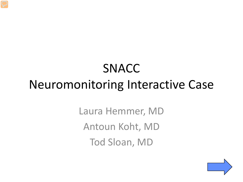# SNACC Neuromonitoring Interactive Case

Laura Hemmer, MD Antoun Koht, MD Tod Sloan, MD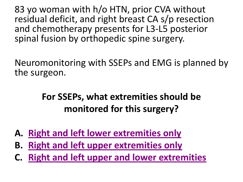<span id="page-1-0"></span>83 yo woman with h/o HTN, prior CVA without residual deficit, and right breast CA s/p resection and chemotherapy presents for L3-L5 posterior spinal fusion by orthopedic spine surgery.

Neuromonitoring with SSEPs and EMG is planned by the surgeon.

## **For SSEPs, what extremities should be monitored for this surgery?**

- **A. [Right and left lower extremities only](#page-2-0)**
- **B. [Right and left upper extremities only](#page-3-0)**
- **C. [Right and left upper and lower extremities](#page-4-0)**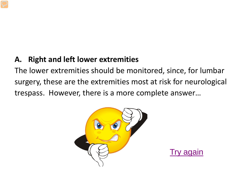#### <span id="page-2-0"></span>**A. Right and left lower extremities**

The lower extremities should be monitored, since, for lumbar surgery, these are the extremities most at risk for neurological trespass. However, there is a more complete answer…



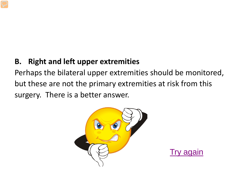#### <span id="page-3-0"></span>**B. Right and left upper extremities**

Perhaps the bilateral upper extremities should be monitored, but these are not the primary extremities at risk from this surgery. There is a better answer.



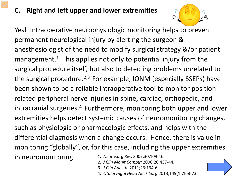#### <span id="page-4-0"></span>**Right and left upper and lower extremities**



Yes! Intraoperative neurophysiologic monitoring helps to prevent permanent neurological injury by alerting the surgeon & anesthesiologist of the need to modify surgical strategy &/or patient management.<sup>1</sup> This applies not only to potential injury from the surgical procedure itself, but also to detecting problems unrelated to the surgical procedure.<sup>2,3</sup> For example, IONM (especially SSEPs) have been shown to be a reliable intraoperative tool to monitor position related peripheral nerve injuries in spine, cardiac, orthopedic, and intracranial surgeries.4 Furthermore, monitoring both upper and lower extremities helps detect systemic causes of neuromonitoring changes, such as physiologic or pharmacologic effects, and helps with the differential diagnosis when a change occurs. Hence, there is value in monitoring "globally", or, for this case, including the upper extremities in neuromonitoring. *1. Neurosurg Rev.* 2007;30:109-16.

- *2. J Clin Monit Comput* 2006;20:437-44.
- *3. J Clin Anesth*. 2011;23:134-6.
- 4. *Otolaryngol Head Neck Surg*.2013;149(1):168-73.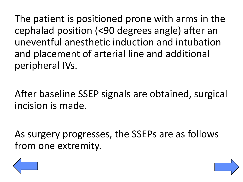The patient is positioned prone with arms in the cephalad position (<90 degrees angle) after an uneventful anesthetic induction and intubation and placement of arterial line and additional peripheral IVs.

After baseline SSEP signals are obtained, surgical incision is made.

As surgery progresses, the SSEPs are as follows from one extremity.



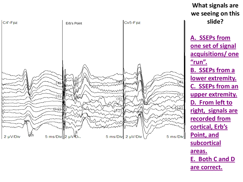<span id="page-6-0"></span>

**What signals are we seeing on this slide?**

**[A. SSEPs from](#page-7-0)  [one set of signal](#page-7-0)  [acquisitions/ one](#page-7-0)  ["run".](#page-7-0) B. SSEPs from a [lower extremity.](#page-8-0) [C. SSEPs from an](#page-9-0) [upper extremity.](#page-9-0) [D. From left to](#page-9-0) [right, signals are](#page-9-0)  [recorded from](#page-9-0)  [cortical, Erb's](#page-9-0)  [Point, and](#page-9-0) [subcortical](#page-9-0)  [areas.](#page-9-0)  [E. Both C and D](#page-11-0)  [are correct.](#page-11-0)**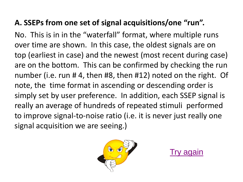#### <span id="page-7-0"></span>**A. SSEPs from one set of signal acquisitions/one "run".**

No. This is in in the "waterfall" format, where multiple runs over time are shown. In this case, the oldest signals are on top (earliest in case) and the newest (most recent during case) are on the bottom. This can be confirmed by checking the run number (i.e. run # 4, then #8, then #12) noted on the right. Of note, the time format in ascending or descending order is simply set by user preference. In addition, each SSEP signal is really an average of hundreds of repeated stimuli performed to improve signal-to-noise ratio (i.e. it is never just really one signal acquisition we are seeing.)



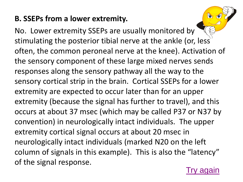#### <span id="page-8-0"></span>**B. SSEPs from a lower extremity.**

No. Lower extremity SSEPs are usually monitored by stimulating the posterior tibial nerve at the ankle (or, less often, the common peroneal nerve at the knee). Activation of the sensory component of these large mixed nerves sends responses along the sensory pathway all the way to the sensory cortical strip in the brain. Cortical SSEPs for a lower extremity are expected to occur later than for an upper extremity (because the signal has further to travel), and this occurs at about 37 msec (which may be called P37 or N37 by convention) in neurologically intact individuals. The upper extremity cortical signal occurs at about 20 msec in neurologically intact individuals (marked N20 on the left column of signals in this example). This is also the "latency" of the signal response.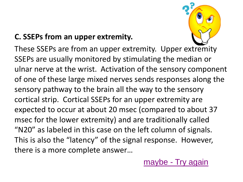### <span id="page-9-0"></span>**C. SSEPs from an upper extremity.**



These SSEPs are from an upper extremity. Upper extremity SSEPs are usually monitored by stimulating the median or ulnar nerve at the wrist. Activation of the sensory component of one of these large mixed nerves sends responses along the sensory pathway to the brain all the way to the sensory cortical strip. Cortical SSEPs for an upper extremity are expected to occur at about 20 msec (compared to about 37 msec for the lower extremity) and are traditionally called "N20" as labeled in this case on the left column of signals. This is also the "latency" of the signal response. However, there is a more complete answer…

[maybe -](#page-6-0) [Try again](#page-6-0)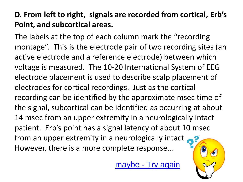### **D. From left to right, signals are recorded from cortical, Erb's Point, and subcortical areas.**

The labels at the top of each column mark the "recording montage". This is the electrode pair of two recording sites (an active electrode and a reference electrode) between which voltage is measured. The 10-20 International System of EEG electrode placement is used to describe scalp placement of electrodes for cortical recordings. Just as the cortical recording can be identified by the approximate msec time of the signal, subcortical can be identified as occurring at about 14 msec from an upper extremity in a neurologically intact patient. Erb's point has a signal latency of about 10 msec from an upper extremity in a neurologically intact However, there is a more complete response…

[maybe -](#page-6-0) [Try again](#page-6-0)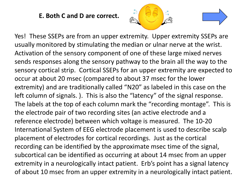**E. Both C and D are correct.** 



<span id="page-11-0"></span>Yes! These SSEPs are from an upper extremity. Upper extremity SSEPs are usually monitored by stimulating the median or ulnar nerve at the wrist. Activation of the sensory component of one of these large mixed nerves sends responses along the sensory pathway to the brain all the way to the sensory cortical strip. Cortical SSEPs for an upper extremity are expected to occur at about 20 msec (compared to about 37 msec for the lower extremity) and are traditionally called "N20" as labeled in this case on the left column of signals. ). This is also the "latency" of the signal response. The labels at the top of each column mark the "recording montage". This is the electrode pair of two recording sites (an active electrode and a reference electrode) between which voltage is measured. The 10-20 International System of EEG electrode placement is used to describe scalp placement of electrodes for cortical recordings. Just as the cortical recording can be identified by the approximate msec time of the signal, subcortical can be identified as occurring at about 14 msec from an upper extremity in a neurologically intact patient. Erb's point has a signal latency of about 10 msec from an upper extremity in a neurologically intact patient.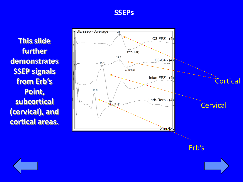#### **SSEPs**

**This slide further demonstrates SSEP signals from Erb's Point, subcortical (cervical), and cortical areas.** 



Erb's



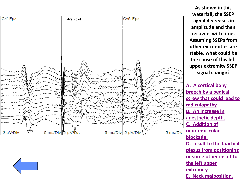<span id="page-13-0"></span>



**[A. A cortical bony](#page-14-0)  [breech by a pedical](#page-14-0)  [screw that could lead to](#page-14-0)  [radiculopathy.](#page-14-0) [B. An increase in](#page-15-0)  [anesthetic depth.](#page-15-0)  [C. Addition of](#page-16-0)  [neuromuscular](#page-16-0)  [blockade.](#page-16-0)  [D. Insult to the brachial](#page-18-0)  [plexus from positioning](#page-18-0)  [or some other insult to](#page-18-0)  [the left upper](#page-18-0)  [extremity.](#page-18-0)  [E. Neck malposition.](#page-17-0)**

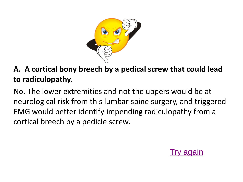

#### <span id="page-14-0"></span>**A. A cortical bony breech by a pedical screw that could lead to radiculopathy.**

No. The lower extremities and not the uppers would be at neurological risk from this lumbar spine surgery, and triggered EMG would better identify impending radiculopathy from a cortical breech by a pedicle screw.

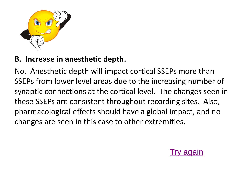<span id="page-15-0"></span>

#### **B. Increase in anesthetic depth.**

No. Anesthetic depth will impact cortical SSEPs more than SSEPs from lower level areas due to the increasing number of synaptic connections at the cortical level. The changes seen in these SSEPs are consistent throughout recording sites. Also, pharmacological effects should have a global impact, and no changes are seen in this case to other extremities.

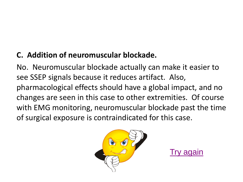## <span id="page-16-0"></span>**C. Addition of neuromuscular blockade.**

No. Neuromuscular blockade actually can make it easier to see SSEP signals because it reduces artifact. Also, pharmacological effects should have a global impact, and no changes are seen in this case to other extremities. Of course with EMG monitoring, neuromuscular blockade past the time of surgical exposure is contraindicated for this case.



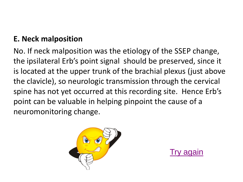#### <span id="page-17-0"></span>**E. Neck malposition**

No. If neck malposition was the etiology of the SSEP change, the ipsilateral Erb's point signal should be preserved, since it is located at the upper trunk of the brachial plexus (just above the clavicle), so neurologic transmission through the cervical spine has not yet occurred at this recording site. Hence Erb's point can be valuable in helping pinpoint the cause of a neuromonitoring change.